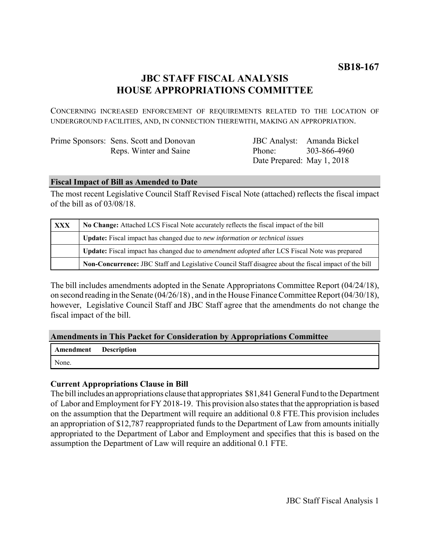# **JBC STAFF FISCAL ANALYSIS HOUSE APPROPRIATIONS COMMITTEE**

CONCERNING INCREASED ENFORCEMENT OF REQUIREMENTS RELATED TO THE LOCATION OF UNDERGROUND FACILITIES, AND, IN CONNECTION THEREWITH, MAKING AN APPROPRIATION.

| Prime Sponsors: Sens. Scott and Donovan |
|-----------------------------------------|
| Reps. Winter and Saine                  |

JBC Analyst: Amanda Bickel Phone: Date Prepared: May 1, 2018 303-866-4960

## **Fiscal Impact of Bill as Amended to Date**

The most recent Legislative Council Staff Revised Fiscal Note (attached) reflects the fiscal impact of the bill as of 03/08/18.

| <b>XXX</b> | No Change: Attached LCS Fiscal Note accurately reflects the fiscal impact of the bill                 |  |
|------------|-------------------------------------------------------------------------------------------------------|--|
|            | <b>Update:</b> Fiscal impact has changed due to new information or technical issues                   |  |
|            | Update: Fiscal impact has changed due to <i>amendment adopted</i> after LCS Fiscal Note was prepared  |  |
|            | Non-Concurrence: JBC Staff and Legislative Council Staff disagree about the fiscal impact of the bill |  |

The bill includes amendments adopted in the Senate Appropriatons Committee Report (04/24/18), on second reading in the Senate (04/26/18) , and in the House Finance Committee Report (04/30/18), however, Legislative Council Staff and JBC Staff agree that the amendments do not change the fiscal impact of the bill.

## **Amendments in This Packet for Consideration by Appropriations Committee**

|       | Amendment Description |
|-------|-----------------------|
| None. |                       |

## **Current Appropriations Clause in Bill**

The bill includes an appropriations clause that appropriates \$81,841 General Fund to the Department of Labor and Employment for FY 2018-19. This provision also states that the appropriation is based on the assumption that the Department will require an additional 0.8 FTE.This provision includes an appropriation of \$12,787 reappropriated funds to the Department of Law from amounts initially appropriated to the Department of Labor and Employment and specifies that this is based on the assumption the Department of Law will require an additional 0.1 FTE.